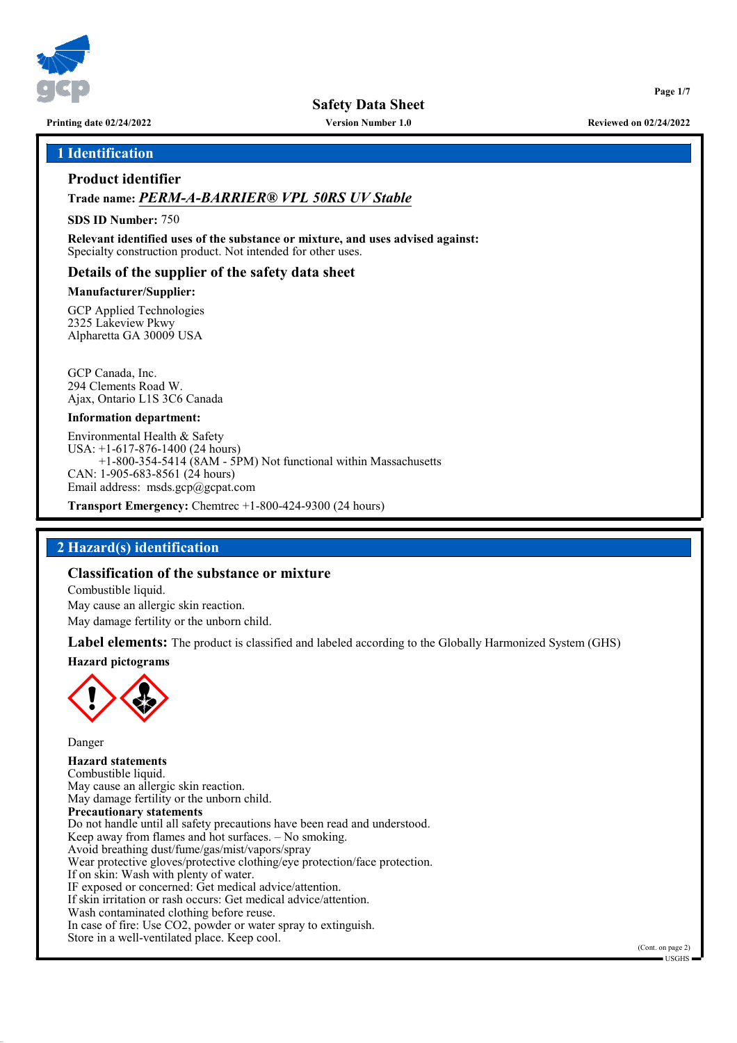

**Safety Data Sheet**

**Printing date 02/24/2022 Version Number 1.0 Reviewed on 02/24/2022**

#### **1 Identification**

## **Product identifier**

### **Trade name:** *PERM-A-BARRIER® VPL 50RS UV Stable*

#### **SDS ID Number:** 750

**Relevant identified uses of the substance or mixture, and uses advised against:** Specialty construction product. Not intended for other uses.

#### **Details of the supplier of the safety data sheet**

#### **Manufacturer/Supplier:**

GCP Applied Technologies 2325 Lakeview Pkwy Alpharetta GA 30009 USA

GCP Canada, Inc. 294 Clements Road W. Ajax, Ontario L1S 3C6 Canada

#### **Information department:**

Environmental Health & Safety USA: +1-617-876-1400 (24 hours)  $+1-800-354-5414$  (8AM - 5PM) Not functional within Massachusetts CAN: 1-905-683-8561 (24 hours) Email address: msds.gcp@gcpat.com

**Transport Emergency:** Chemtrec +1-800-424-9300 (24 hours)

## **2 Hazard(s) identification**

#### **Classification of the substance or mixture**

Combustible liquid. May cause an allergic skin reaction. May damage fertility or the unborn child.

**Label elements:** The product is classified and labeled according to the Globally Harmonized System (GHS)

#### **Hazard pictograms**



Danger **Hazard statements** Combustible liquid. May cause an allergic skin reaction. May damage fertility or the unborn child. **Precautionary statements** Do not handle until all safety precautions have been read and understood. Keep away from flames and hot surfaces. – No smoking. Avoid breathing dust/fume/gas/mist/vapors/spray Wear protective gloves/protective clothing/eye protection/face protection. If on skin: Wash with plenty of water. IF exposed or concerned: Get medical advice/attention. If skin irritation or rash occurs: Get medical advice/attention. Wash contaminated clothing before reuse. In case of fire: Use CO2, powder or water spray to extinguish. Store in a well-ventilated place. Keep cool.

(Cont. on page 2) USGHS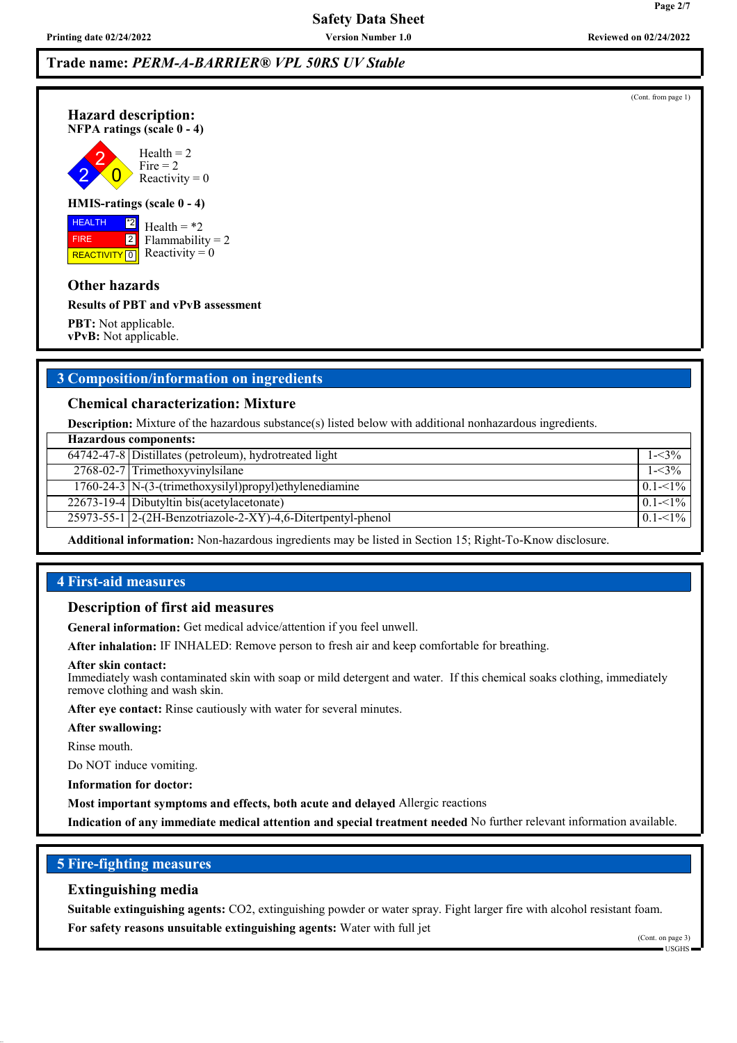**Printing date 02/24/2022 Version Number 1.0 Reviewed on 02/24/2022**

**Page 2/7**

# **Trade name:** *PERM-A-BARRIER® VPL 50RS UV Stable*

(Cont. from page 1)



**Hazard description:**

 $\overline{0}$  $Health = 2$ Fire  $= 2$ 

Reactivity  $= 0$ 

#### **HMIS-ratings (scale 0 - 4)**

 HEALTH FIRE **REACTIVITY** 0  $\boxed{\phantom{1}^*2}$ 2

Health  $=$  \*2 Flammability  $= 2$ Reactivity  $= 0$ 

#### **Other hazards**

**Results of PBT and vPvB assessment**

**PBT:** Not applicable. **vPvB:** Not applicable.

## **3 Composition/information on ingredients**

#### **Chemical characterization: Mixture**

**Description:** Mixture of the hazardous substance(s) listed below with additional nonhazardous ingredients.

| <b>Hazardous components:</b> |                                                                     |             |  |
|------------------------------|---------------------------------------------------------------------|-------------|--|
|                              | 64742-47-8 Distillates (petroleum), hydrotreated light              | $1 - 3\%$   |  |
|                              | $2768-02-7$ Trimethoxyvinylsilane                                   | $1 - 3\%$   |  |
|                              | $\overline{1760-24-3}$ N-(3-(trimethoxysilyl)propyl)ethylenediamine | $0.1 - 1\%$ |  |
|                              | $\sqrt{22673-19-4}$ Dibutyltin bis(acetylacetonate)                 | $0.1 - 1\%$ |  |
|                              | 25973-55-1 2-(2H-Benzotriazole-2-XY)-4,6-Ditertpentyl-phenol        | $0.1 - 1\%$ |  |
|                              |                                                                     |             |  |

**Additional information:** Non-hazardous ingredients may be listed in Section 15; Right-To-Know disclosure.

### **4 First-aid measures**

#### **Description of first aid measures**

**General information:** Get medical advice/attention if you feel unwell.

**After inhalation:** IF INHALED: Remove person to fresh air and keep comfortable for breathing.

#### **After skin contact:**

Immediately wash contaminated skin with soap or mild detergent and water. If this chemical soaks clothing, immediately remove clothing and wash skin.

**After eye contact:** Rinse cautiously with water for several minutes.

#### **After swallowing:**

Rinse mouth.

Do NOT induce vomiting.

**Information for doctor:**

**Most important symptoms and effects, both acute and delayed** Allergic reactions

**Indication of any immediate medical attention and special treatment needed** No further relevant information available.

## **5 Fire-fighting measures**

#### **Extinguishing media**

**Suitable extinguishing agents:** CO2, extinguishing powder or water spray. Fight larger fire with alcohol resistant foam. **For safety reasons unsuitable extinguishing agents:** Water with full jet

(Cont. on page 3) USGHS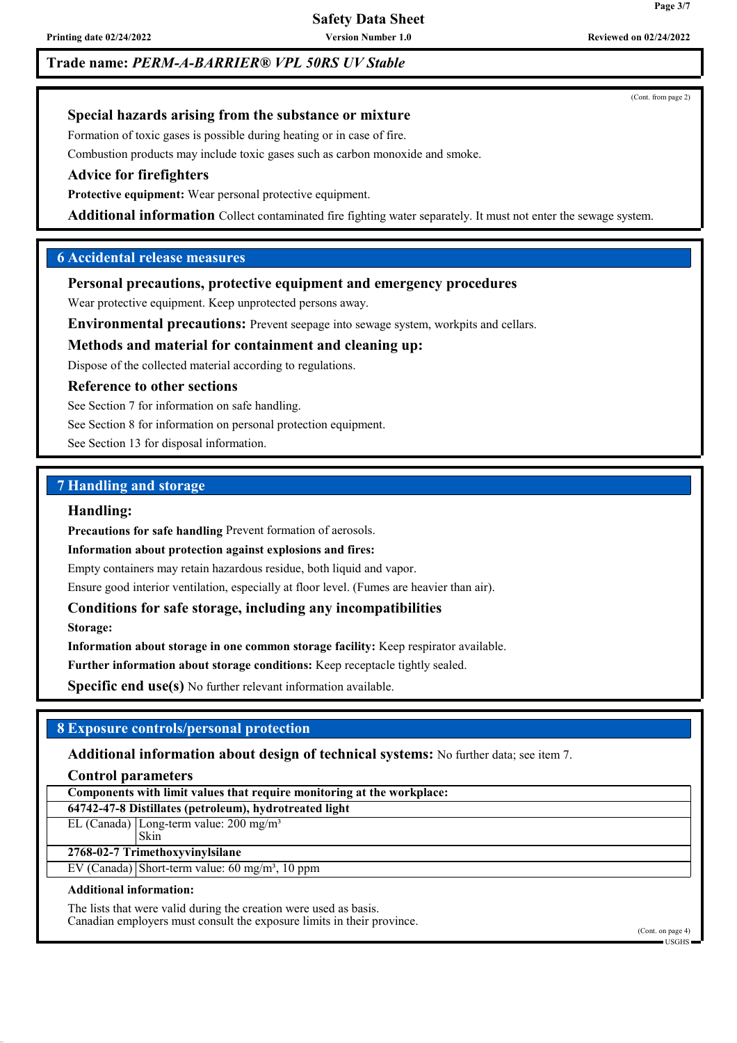**Safety Data Sheet**

**Printing date 02/24/2022 Version Number 1.0 Reviewed on 02/24/2022**

## **Trade name:** *PERM-A-BARRIER® VPL 50RS UV Stable*

(Cont. from page 2)

## **Special hazards arising from the substance or mixture**

Formation of toxic gases is possible during heating or in case of fire.

Combustion products may include toxic gases such as carbon monoxide and smoke.

## **Advice for firefighters**

**Protective equipment:** Wear personal protective equipment.

**Additional information** Collect contaminated fire fighting water separately. It must not enter the sewage system.

### **6 Accidental release measures**

#### **Personal precautions, protective equipment and emergency procedures**

Wear protective equipment. Keep unprotected persons away.

**Environmental precautions:** Prevent seepage into sewage system, workpits and cellars.

#### **Methods and material for containment and cleaning up:**

Dispose of the collected material according to regulations.

#### **Reference to other sections**

See Section 7 for information on safe handling.

See Section 8 for information on personal protection equipment.

See Section 13 for disposal information.

## **7 Handling and storage**

#### **Handling:**

**Precautions for safe handling** Prevent formation of aerosols.

**Information about protection against explosions and fires:**

Empty containers may retain hazardous residue, both liquid and vapor.

Ensure good interior ventilation, especially at floor level. (Fumes are heavier than air).

### **Conditions for safe storage, including any incompatibilities**

**Storage:**

**Information about storage in one common storage facility:** Keep respirator available.

**Further information about storage conditions:** Keep receptacle tightly sealed.

**Specific end use(s)** No further relevant information available.

### **8 Exposure controls/personal protection**

#### **Additional information about design of technical systems:** No further data; see item 7.

#### **Control parameters**

| Components with limit values that require monitoring at the workplace: |                                                                          |  |  |  |
|------------------------------------------------------------------------|--------------------------------------------------------------------------|--|--|--|
| 64742-47-8 Distillates (petroleum), hydrotreated light                 |                                                                          |  |  |  |
|                                                                        | $\overline{\text{EL (Canada)}}$   Long-term value: 200 mg/m <sup>3</sup> |  |  |  |
|                                                                        | 'Skin                                                                    |  |  |  |
| 2768-02-7 Trimethoxyvinylsilane                                        |                                                                          |  |  |  |
|                                                                        | EV (Canada) Short-term value: $60 \text{ mg/m}^3$ , $10 \text{ ppm}$     |  |  |  |
|                                                                        |                                                                          |  |  |  |

#### **Additional information:**

The lists that were valid during the creation were used as basis. Canadian employers must consult the exposure limits in their province.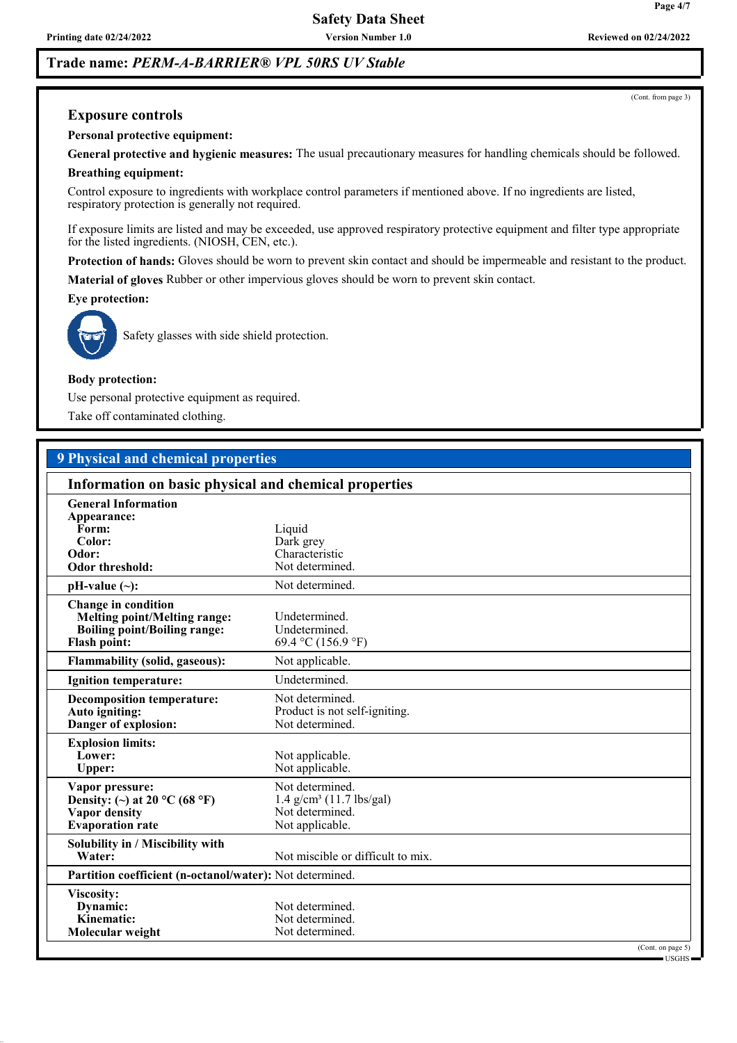**Printing date 02/24/2022 Version Number 1.0 Reviewed on 02/24/2022**

## **Trade name:** *PERM-A-BARRIER® VPL 50RS UV Stable*

#### **Exposure controls**

**Personal protective equipment:**

**General protective and hygienic measures:** The usual precautionary measures for handling chemicals should be followed. **Breathing equipment:**

Control exposure to ingredients with workplace control parameters if mentioned above. If no ingredients are listed, respiratory protection is generally not required.

If exposure limits are listed and may be exceeded, use approved respiratory protective equipment and filter type appropriate for the listed ingredients. (NIOSH, CEN, etc.).

**Protection of hands:** Gloves should be worn to prevent skin contact and should be impermeable and resistant to the product.

**Material of gloves** Rubber or other impervious gloves should be worn to prevent skin contact.

#### **Eye protection:**



Safety glasses with side shield protection.

#### **Body protection:**

Use personal protective equipment as required.

Take off contaminated clothing.

## **9 Physical and chemical properties**

|                                                                                                                          | Information on basic physical and chemical properties                                           |                             |  |
|--------------------------------------------------------------------------------------------------------------------------|-------------------------------------------------------------------------------------------------|-----------------------------|--|
| <b>General Information</b><br>Appearance:<br>Form:<br>Color:<br>Odor:<br><b>Odor threshold:</b>                          | Liquid<br>Dark grey<br>Characteristic<br>Not determined.                                        |                             |  |
| $pH-value (\sim):$                                                                                                       | Not determined.                                                                                 |                             |  |
| Change in condition<br><b>Melting point/Melting range:</b><br><b>Boiling point/Boiling range:</b><br><b>Flash point:</b> | Undetermined.<br>Undetermined.<br>69.4 °C (156.9 °F)                                            |                             |  |
| <b>Flammability (solid, gaseous):</b>                                                                                    | Not applicable.                                                                                 |                             |  |
| <b>Ignition temperature:</b>                                                                                             | Undetermined.                                                                                   |                             |  |
| <b>Decomposition temperature:</b><br>Auto igniting:<br>Danger of explosion:                                              | Not determined.<br>Product is not self-igniting.<br>Not determined.                             |                             |  |
| <b>Explosion limits:</b><br>Lower:<br><b>Upper:</b>                                                                      | Not applicable.<br>Not applicable.                                                              |                             |  |
| Vapor pressure:<br>Density: (~) at $20^{\circ}$ C (68 °F)<br><b>Vapor density</b><br><b>Evaporation</b> rate             | Not determined.<br>$1.4$ g/cm <sup>3</sup> (11.7 lbs/gal)<br>Not determined.<br>Not applicable. |                             |  |
| Solubility in / Miscibility with<br>Water:                                                                               | Not miscible or difficult to mix.                                                               |                             |  |
| Partition coefficient (n-octanol/water): Not determined.                                                                 |                                                                                                 |                             |  |
| Viscosity:<br>Dynamic:<br>Kinematic:<br>Molecular weight                                                                 | Not determined.<br>Not determined.<br>Not determined.                                           |                             |  |
|                                                                                                                          |                                                                                                 | (Cont. on page 5)<br>USGHS- |  |

(Cont. from page 3)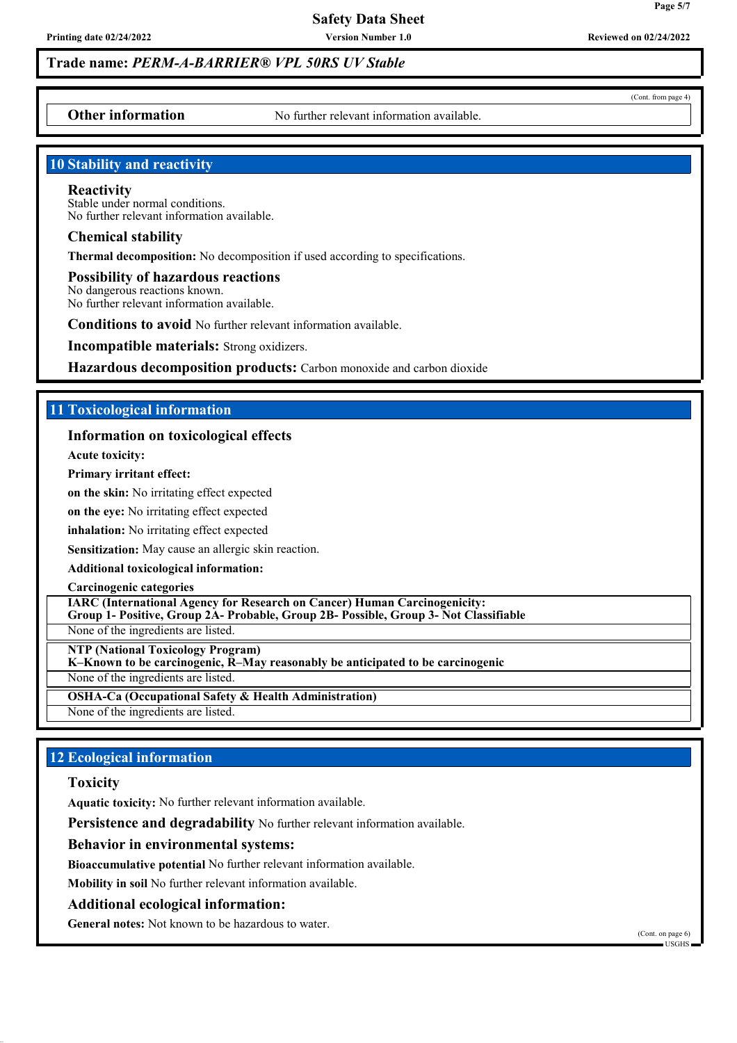**Trade name:** *PERM-A-BARRIER® VPL 50RS UV Stable*

**Other information** No further relevant information available.

#### **10 Stability and reactivity**

#### **Reactivity**

Stable under normal conditions. No further relevant information available.

#### **Chemical stability**

**Thermal decomposition:** No decomposition if used according to specifications.

**Possibility of hazardous reactions** No dangerous reactions known. No further relevant information available.

**Conditions to avoid** No further relevant information available.

**Incompatible materials:** Strong oxidizers.

**Hazardous decomposition products:** Carbon monoxide and carbon dioxide

### **11 Toxicological information**

#### **Information on toxicological effects**

**Acute toxicity:**

**Primary irritant effect:**

**on the skin:** No irritating effect expected

**on the eye:** No irritating effect expected

**inhalation:** No irritating effect expected

**Sensitization:** May cause an allergic skin reaction.

**Additional toxicological information:**

**Carcinogenic categories**

**IARC (International Agency for Research on Cancer) Human Carcinogenicity: Group 1- Positive, Group 2A- Probable, Group 2B- Possible, Group 3- Not Classifiable**

None of the ingredients are listed.

**NTP (National Toxicology Program)**

**K–Known to be carcinogenic, R–May reasonably be anticipated to be carcinogenic**

None of the ingredients are listed.

**OSHA-Ca (Occupational Safety & Health Administration)**

None of the ingredients are listed.

## **12 Ecological information**

#### **Toxicity**

**Aquatic toxicity:** No further relevant information available.

**Persistence and degradability** No further relevant information available.

#### **Behavior in environmental systems:**

**Bioaccumulative potential** No further relevant information available.

**Mobility in soil** No further relevant information available.

#### **Additional ecological information:**

**General notes:** Not known to be hazardous to water.

(Cont. on page 6)  $-IISGHS$ 

(Cont. from page 4)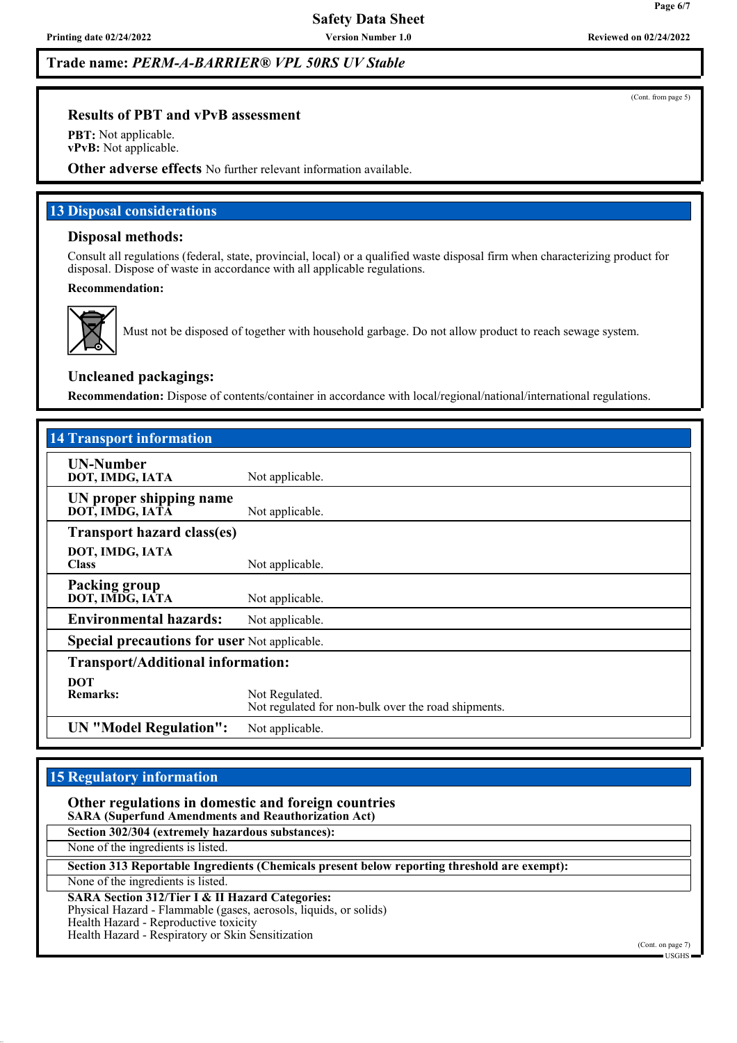## **Trade name:** *PERM-A-BARRIER® VPL 50RS UV Stable*

#### **Results of PBT and vPvB assessment**

**PBT:** Not applicable. **vPvB:** Not applicable.

**Other adverse effects** No further relevant information available.

#### **13 Disposal considerations**

#### **Disposal methods:**

Consult all regulations (federal, state, provincial, local) or a qualified waste disposal firm when characterizing product for disposal. Dispose of waste in accordance with all applicable regulations.

#### **Recommendation:**



Must not be disposed of together with household garbage. Do not allow product to reach sewage system.

### **Uncleaned packagings:**

**Recommendation:** Dispose of contents/container in accordance with local/regional/national/international regulations.

| <b>14 Transport information</b>                     |                                                                       |  |  |  |
|-----------------------------------------------------|-----------------------------------------------------------------------|--|--|--|
| <b>UN-Number</b><br>DOT, IMDG, IATA                 | Not applicable.                                                       |  |  |  |
| UN proper shipping name<br>DOT, IMDG, IATĀ          | Not applicable.                                                       |  |  |  |
| <b>Transport hazard class(es)</b>                   |                                                                       |  |  |  |
| DOT, IMDG, IATA<br><b>Class</b>                     | Not applicable.                                                       |  |  |  |
| Packing group<br>DOT, IMDG, IATA                    | Not applicable.                                                       |  |  |  |
| <b>Environmental hazards:</b>                       | Not applicable.                                                       |  |  |  |
| <b>Special precautions for user Not applicable.</b> |                                                                       |  |  |  |
|                                                     | <b>Transport/Additional information:</b>                              |  |  |  |
| <b>DOT</b><br><b>Remarks:</b>                       | Not Regulated.<br>Not regulated for non-bulk over the road shipments. |  |  |  |
| <b>UN</b> "Model Regulation":                       | Not applicable.                                                       |  |  |  |

## **15 Regulatory information**

**Other regulations in domestic and foreign countries SARA (Superfund Amendments and Reauthorization Act)**

**Section 302/304 (extremely hazardous substances):**

None of the ingredients is listed.

**Section 313 Reportable Ingredients (Chemicals present below reporting threshold are exempt):**

None of the ingredients is listed.

**SARA Section 312/Tier I & II Hazard Categories:**

Physical Hazard - Flammable (gases, aerosols, liquids, or solids)

Health Hazard - Reproductive toxicity

Health Hazard - Respiratory or Skin Sensitization

(Cont. from page 5)